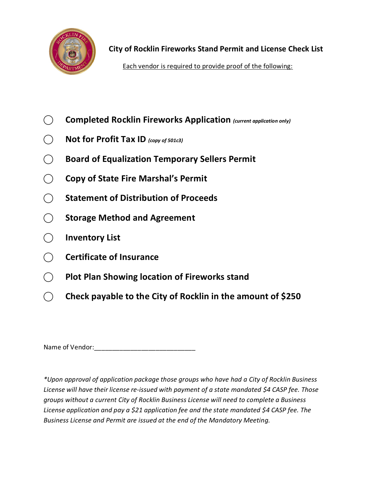

**City of Rocklin Fireworks Stand Permit and License Check List**

Each vendor is required to provide proof of the following:

- **⃝ Completed Rocklin Fireworks Application** *(current application only)*
- **⃝ Not for Profit Tax ID** *(copy of 501c3)*
- **⃝ Board of Equalization Temporary Sellers Permit**
- **⃝ Copy of State Fire Marshal's Permit**
- **⃝ Statement of Distribution of Proceeds**
- **⃝ Storage Method and Agreement**
- **⃝ Inventory List**
- **⃝ Certificate of Insurance**
- **⃝ Plot Plan Showing location of Fireworks stand**
- **⃝ Check payable to the City of Rocklin in the amount of \$250**

Name of Vendor: etc. and the state of vendor:

*\*Upon approval of application package those groups who have had a City of Rocklin Business License will have their license re-issued with payment of a state mandated \$4 CASP fee. Those groups without a current City of Rocklin Business License will need to complete a Business License application and pay a \$21 application fee and the state mandated \$4 CASP fee. The Business License and Permit are issued at the end of the Mandatory Meeting.*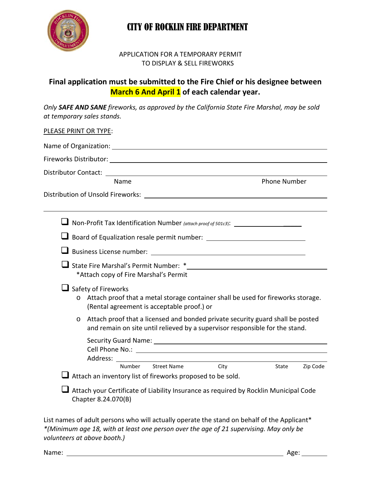

## CITY OF ROCKLIN FIRE DEPARTMENT

## APPLICATION FOR A TEMPORARY PERMIT TO DISPLAY & SELL FIREWORKS

## **Final application must be submitted to the Fire Chief or his designee between March 6 And April 1 of each calendar year.**

*Only SAFE AND SANE fireworks, as approved by the California State Fire Marshal, may be sold at temporary sales stands.*

## PLEASE PRINT OR TYPE:

| Fireworks Distributor: North American Control of The Control of The Control of The Control of The Control of T                                                                                                                                                                                                                                                                                                                                                                               |
|----------------------------------------------------------------------------------------------------------------------------------------------------------------------------------------------------------------------------------------------------------------------------------------------------------------------------------------------------------------------------------------------------------------------------------------------------------------------------------------------|
| <b>Phone Number</b><br>Name                                                                                                                                                                                                                                                                                                                                                                                                                                                                  |
| Distribution of Unsold Fireworks: National Section of National Action of National Action of National Action of                                                                                                                                                                                                                                                                                                                                                                               |
| □ Non-Profit Tax Identification Number (attach proof of 501c3): ________________                                                                                                                                                                                                                                                                                                                                                                                                             |
|                                                                                                                                                                                                                                                                                                                                                                                                                                                                                              |
|                                                                                                                                                                                                                                                                                                                                                                                                                                                                                              |
| *Attach copy of Fire Marshal's Permit                                                                                                                                                                                                                                                                                                                                                                                                                                                        |
| $\Box$ Safety of Fireworks<br>$\circ$ Attach proof that a metal storage container shall be used for fireworks storage.<br>(Rental agreement is acceptable proof.) or                                                                                                                                                                                                                                                                                                                         |
| Attach proof that a licensed and bonded private security guard shall be posted<br>$\circ$<br>and remain on site until relieved by a supervisor responsible for the stand.                                                                                                                                                                                                                                                                                                                    |
| Security Guard Name: 1988 Contract Contract Contract Contract Contract Contract Contract Contract Contract Contract Contract Contract Contract Contract Contract Contract Contract Contract Contract Contract Contract Contrac<br>Cell Phone No.: <u>contract the property of the set of the set of the set of the set of the set of the set of the set of the set of the set of the set of the set of the set of the set of the set of the set of the set of the </u><br>Number Street Name |
| City<br>Zip Code<br>State<br>Attach an inventory list of fireworks proposed to be sold.                                                                                                                                                                                                                                                                                                                                                                                                      |
| Attach your Certificate of Liability Insurance as required by Rocklin Municipal Code<br>Chapter 8.24.070(B)                                                                                                                                                                                                                                                                                                                                                                                  |

List names of adult persons who will actually operate the stand on behalf of the Applicant\* *\*(Minimum age 18, with at least one person over the age of 21 supervising. May only be volunteers at above booth.)*

Name: Age: